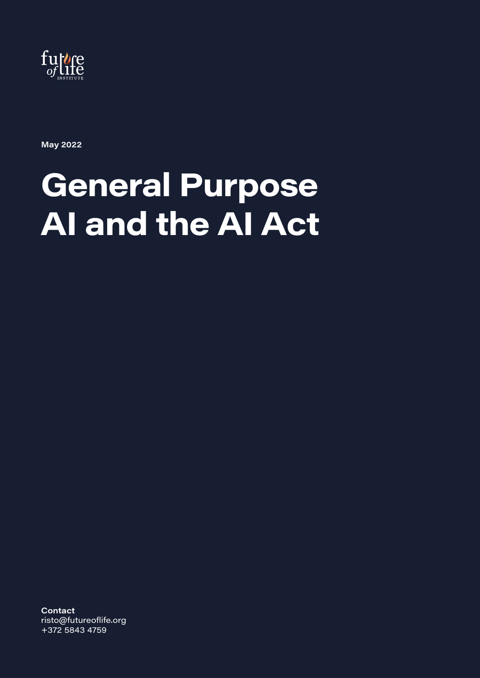

**May 2022**

# **General Purpose AI and the AI Act**

**Contact** risto@futureoflife.org +372 5843 4759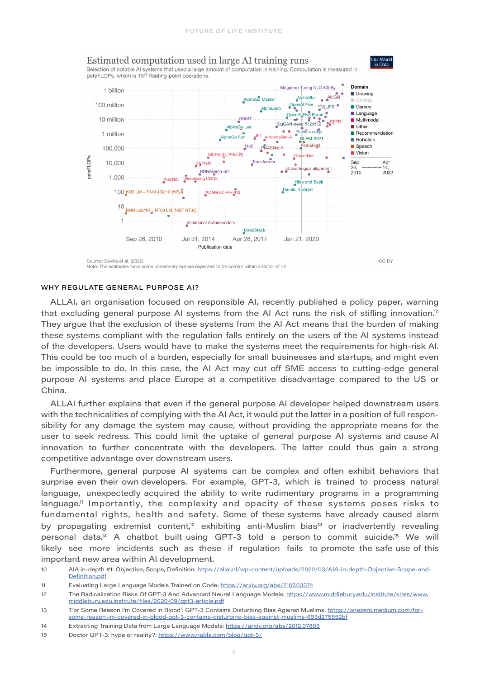

#### WHY REGULATE GENERAL PURPOSE AI?

ALLAI, an organisation focused on responsible AI, recently published a policy paper, warning that excluding general purpose AI systems from the AI Act runs the risk of stifling innovation.<sup>10</sup> They argue that the exclusion of these systems from the AI Act means that the burden of making these systems compliant with the regulation falls entirely on the users of the AI systems instead of the developers. Users would have to make the systems meet the requirements for high-risk AI. This could be too much of a burden, especially for small businesses and startups, and might even be impossible to do. In this case, the AI Act may cut off SME access to cutting-edge general purpose AI systems and place Europe at a competitive disadvantage compared to the US or China.

ALLAI further explains that even if the general purpose AI developer helped downstream users with the technicalities of complying with the AI Act, it would put the latter in a position of full responsibility for any damage the system may cause, without providing the appropriate means for the user to seek redress. This could limit the uptake of general purpose AI systems and cause AI innovation to further concentrate with the developers. The latter could thus gain a strong competitive advantage over downstream users.

Furthermore, general purpose AI systems can be complex and often exhibit behaviors that surprise even their own developers. For example, GPT-3, which is trained to process natural language, unexpectedly acquired the ability to write rudimentary programs in a programming language.<sup>11</sup> Importantly, the complexity and opacity of these systems poses risks to fundamental rights, health and safety. Some of these systems have already caused alarm by propagating extremist content,<sup>12</sup> exhibiting anti-Muslim bias<sup>13</sup> or inadvertently revealing personal data.<sup>14</sup> A chatbot built using GPT-3 told a person to commit suicide.<sup>15</sup> We will likely see more incidents such as these if regulation fails to promote the safe use of this important new area within AI development.

12 The Radicalization Risks Of GPT-3 And Advanced Neural Language Models: [https://www.middlebury.edu/institute/sites/www.](https://www.middlebury.edu/institute/sites/www.middlebury.edu.institute/files/2020-09/gpt3-article.pdf) [middlebury.edu.institute/files/2020-09/gpt3-article.pdf](https://www.middlebury.edu/institute/sites/www.middlebury.edu.institute/files/2020-09/gpt3-article.pdf)

<sup>10</sup> AIA in-depth #1: Objective, Scope, Definition: [https://allai.nl/wp-content/uploads/2022/03/AIA-in-depth-Objective-Scope-and-](https://allai.nl/wp-content/uploads/2022/03/AIA-in-depth-Objective-Scope-and-Definition.pdf)[Definition.pdf](https://allai.nl/wp-content/uploads/2022/03/AIA-in-depth-Objective-Scope-and-Definition.pdf)

<sup>11</sup> Evaluating Large Language Models Trained on Code: <https://arxiv.org/abs/2107.03374>

<sup>13</sup> 'For Some Reason I'm Covered in Blood': GPT-3 Contains Disturbing Bias Against Muslims: [https://onezero.medium.com/for](https://onezero.medium.com/for-some-reason-im-covered-in-blood-gpt-3-contains-disturbing-bias-against-muslims-693d275552bf)[some-reason-im-covered-in-blood-gpt-3-contains-disturbing-bias-against-muslims-693d275552bf](https://onezero.medium.com/for-some-reason-im-covered-in-blood-gpt-3-contains-disturbing-bias-against-muslims-693d275552bf)

<sup>14</sup> Extracting Training Data from Large Language Models:<https://arxiv.org/abs/2012.07805>

<sup>15</sup> Doctor GPT-3: hype or reality?: <https://www.nabla.com/blog/gpt-3/>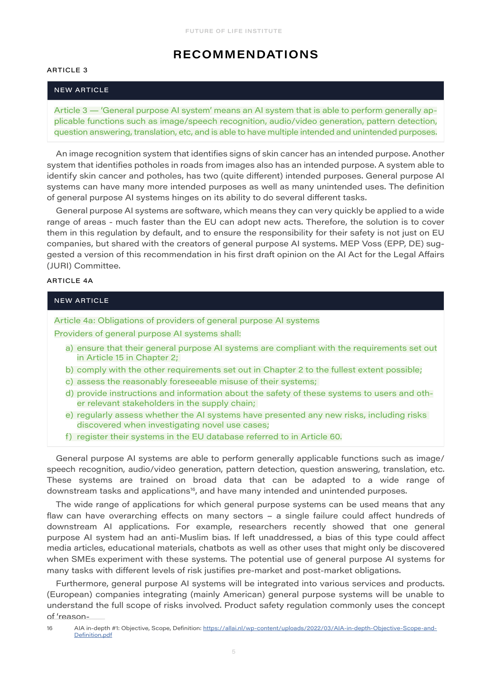# **RECOMMENDATIONS**

#### ARTICLE 3

#### NEW ARTICLE

Article 3 — 'General purpose AI system' means an AI system that is able to perform generally applicable functions such as image/speech recognition, audio/video generation, pattern detection, question answering, translation, etc, and is able to have multiple intended and unintended purposes.

An image recognition system that identifies signs of skin cancer has an intended purpose. Another system that identifies potholes in roads from images also has an intended purpose. A system able to identify skin cancer and potholes, has two (quite different) intended purposes. General purpose AI systems can have many more intended purposes as well as many unintended uses. The definition of general purpose AI systems hinges on its ability to do several different tasks.

General purpose AI systems are software, which means they can very quickly be applied to a wide range of areas - much faster than the EU can adopt new acts. Therefore, the solution is to cover them in this regulation by default, and to ensure the responsibility for their safety is not just on EU companies, but shared with the creators of general purpose AI systems. MEP Voss (EPP, DE) suggested a version of this recommendation in his first draft opinion on the AI Act for the Legal Affairs (JURI) Committee.

### ARTICLE 4A

#### NEW ARTICLE

Article 4a: Obligations of providers of general purpose AI systems

Providers of general purpose AI systems shall:

- a) ensure that their general purpose AI systems are compliant with the requirements set out in Article 15 in Chapter 2;
- b) comply with the other requirements set out in Chapter 2 to the fullest extent possible;
- c) assess the reasonably foreseeable misuse of their systems;
- d) provide instructions and information about the safety of these systems to users and other relevant stakeholders in the supply chain;
- e) regularly assess whether the AI systems have presented any new risks, including risks discovered when investigating novel use cases;
- f) register their systems in the EU database referred to in Article 60.

General purpose AI systems are able to perform generally applicable functions such as image/ speech recognition, audio/video generation, pattern detection, question answering, translation, etc. These systems are trained on broad data that can be adapted to a wide range of downstream tasks and applications<sup>16</sup>, and have many intended and unintended purposes.

The wide range of applications for which general purpose systems can be used means that any flaw can have overarching effects on many sectors – a single failure could affect hundreds of downstream AI applications. For example, researchers recently showed that one general purpose AI system had an anti-Muslim bias. If left unaddressed, a bias of this type could affect media articles, educational materials, chatbots as well as other uses that might only be discovered when SMEs experiment with these systems. The potential use of general purpose AI systems for many tasks with different levels of risk justifies pre-market and post-market obligations.

Furthermore, general purpose AI systems will be integrated into various services and products. (European) companies integrating (mainly American) general purpose systems will be unable to understand the full scope of risks involved. Product safety regulation commonly uses the concept of 'reason-

<sup>16</sup> AIA in-depth #1: Objective, Scope, Definition: [https://allai.nl/wp-content/uploads/2022/03/AIA-in-depth-Objective-Scope-and-](https://allai.nl/wp-content/uploads/2022/03/AIA-in-depth-Objective-Scope-and-Definition.pdf)[Definition.pdf](https://allai.nl/wp-content/uploads/2022/03/AIA-in-depth-Objective-Scope-and-Definition.pdf)